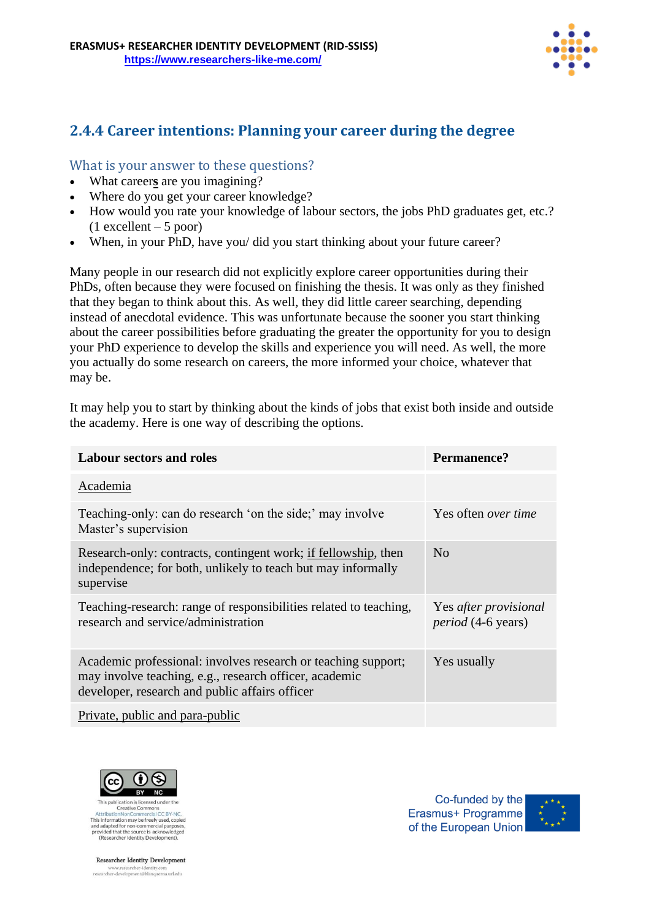

## **2.4.4 Career intentions: Planning your career during the degree**

## What is your answer to these questions?

- What career**s** are you imagining?
- Where do you get your career knowledge?
- How would you rate your knowledge of labour sectors, the jobs PhD graduates get, etc.?  $(1$  excellent – 5 poor)
- When, in your PhD, have you/ did you start thinking about your future career?

Many people in our research did not explicitly explore career opportunities during their PhDs, often because they were focused on finishing the thesis. It was only as they finished that they began to think about this. As well, they did little career searching, depending instead of anecdotal evidence. This was unfortunate because the sooner you start thinking about the career possibilities before graduating the greater the opportunity for you to design your PhD experience to develop the skills and experience you will need. As well, the more you actually do some research on careers, the more informed your choice, whatever that may be.

It may help you to start by thinking about the kinds of jobs that exist both inside and outside the academy. Here is one way of describing the options.

| <b>Labour sectors and roles</b>                                                                                                                                           | Permanence?                                        |
|---------------------------------------------------------------------------------------------------------------------------------------------------------------------------|----------------------------------------------------|
| Academia                                                                                                                                                                  |                                                    |
| Teaching-only: can do research 'on the side;' may involve<br>Master's supervision                                                                                         | Yes often <i>over time</i>                         |
| Research-only: contracts, contingent work; if fellowship, then<br>independence; for both, unlikely to teach but may informally<br>supervise                               | N <sub>o</sub>                                     |
| Teaching-research: range of responsibilities related to teaching,<br>research and service/administration                                                                  | Yes after provisional<br><i>period</i> (4-6 years) |
| Academic professional: involves research or teaching support;<br>may involve teaching, e.g., research officer, academic<br>developer, research and public affairs officer | Yes usually                                        |
| Private, public and para-public                                                                                                                                           |                                                    |



Creative Commo This information may be freely used, copied and adapted for non-commercial purp provided that the source is acknowledged<br>(Researcher Identity Development).

**Researcher Identity Development** www.researcher-identity.com<br>researcher-development@blanquerna.url.edu

Co-funded by the Erasmus+ Programme of the European Union